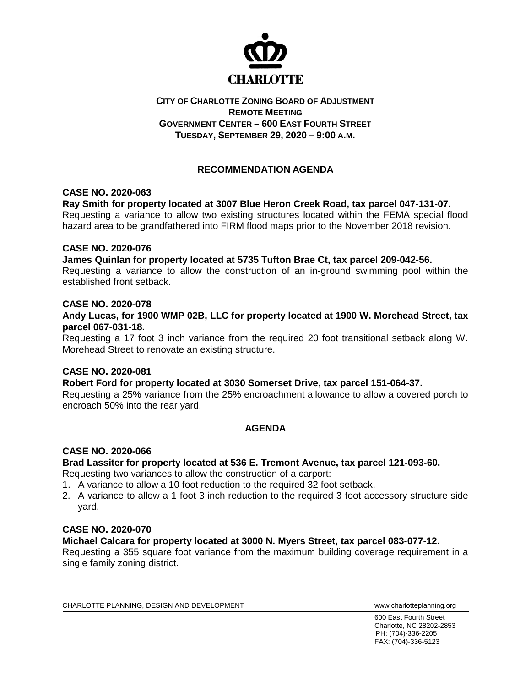

## **CITY OF CHARLOTTE ZONING BOARD OF ADJUSTMENT REMOTE MEETING GOVERNMENT CENTER – 600 EAST FOURTH STREET TUESDAY, SEPTEMBER 29, 2020 – 9:00 A.M.**

# **RECOMMENDATION AGENDA**

## **CASE NO. 2020-063**

**Ray Smith for property located at 3007 Blue Heron Creek Road, tax parcel 047-131-07.**

Requesting a variance to allow two existing structures located within the FEMA special flood hazard area to be grandfathered into FIRM flood maps prior to the November 2018 revision.

## **CASE NO. 2020-076**

**James Quinlan for property located at 5735 Tufton Brae Ct, tax parcel 209-042-56.**

Requesting a variance to allow the construction of an in-ground swimming pool within the established front setback.

#### **CASE NO. 2020-078**

**Andy Lucas, for 1900 WMP 02B, LLC for property located at 1900 W. Morehead Street, tax parcel 067-031-18.**

Requesting a 17 foot 3 inch variance from the required 20 foot transitional setback along W. Morehead Street to renovate an existing structure.

#### **CASE NO. 2020-081**

**Robert Ford for property located at 3030 Somerset Drive, tax parcel 151-064-37.**

Requesting a 25% variance from the 25% encroachment allowance to allow a covered porch to encroach 50% into the rear yard.

## **AGENDA**

#### **CASE NO. 2020-066**

**Brad Lassiter for property located at 536 E. Tremont Avenue, tax parcel 121-093-60.**

Requesting two variances to allow the construction of a carport:

- 1. A variance to allow a 10 foot reduction to the required 32 foot setback.
- 2. A variance to allow a 1 foot 3 inch reduction to the required 3 foot accessory structure side yard.

#### **CASE NO. 2020-070**

## **Michael Calcara for property located at 3000 N. Myers Street, tax parcel 083-077-12.**

Requesting a 355 square foot variance from the maximum building coverage requirement in a single family zoning district.

CHARLOTTE PLANNING, DESIGN AND DEVELOPMENT WWW.Charlotteplanning.org

600 East Fourth Street Charlotte, NC 28202-2853 PH: (704)-336-2205 FAX: (704)-336-5123